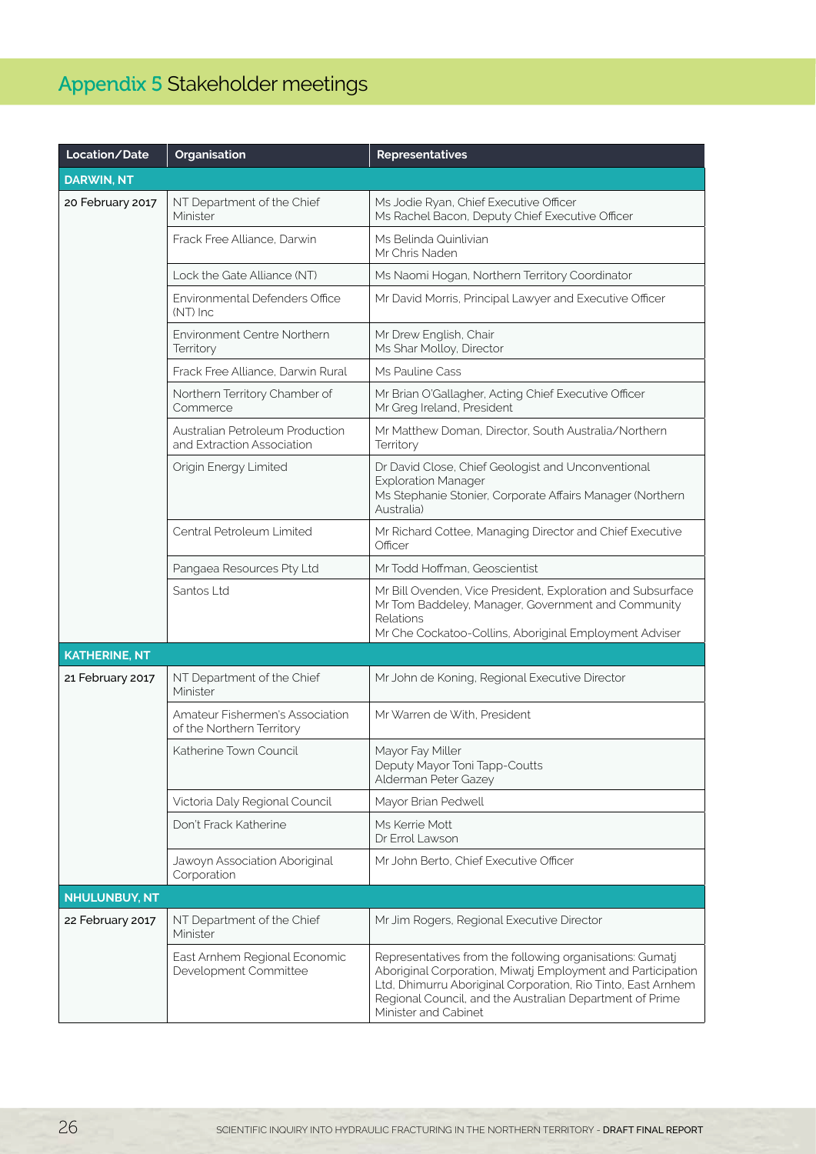## Appendix 5 Stakeholder meetings

| Location/Date        | Organisation                                                  | <b>Representatives</b>                                                                                                                                                                                                                                                      |
|----------------------|---------------------------------------------------------------|-----------------------------------------------------------------------------------------------------------------------------------------------------------------------------------------------------------------------------------------------------------------------------|
| <b>DARWIN, NT</b>    |                                                               |                                                                                                                                                                                                                                                                             |
| 20 February 2017     | NT Department of the Chief<br>Minister                        | Ms Jodie Ryan, Chief Executive Officer<br>Ms Rachel Bacon, Deputy Chief Executive Officer                                                                                                                                                                                   |
|                      | Frack Free Alliance, Darwin                                   | Ms Belinda Quinlivian<br>Mr Chris Naden                                                                                                                                                                                                                                     |
|                      | Lock the Gate Alliance (NT)                                   | Ms Naomi Hogan, Northern Territory Coordinator                                                                                                                                                                                                                              |
|                      | Environmental Defenders Office<br>$(NT)$ Inc.                 | Mr David Morris, Principal Lawyer and Executive Officer                                                                                                                                                                                                                     |
|                      | Environment Centre Northern<br>Territory                      | Mr Drew English, Chair<br>Ms Shar Molloy, Director                                                                                                                                                                                                                          |
|                      | Frack Free Alliance, Darwin Rural                             | Ms Pauline Cass                                                                                                                                                                                                                                                             |
|                      | Northern Territory Chamber of<br>Commerce                     | Mr Brian O'Gallagher, Acting Chief Executive Officer<br>Mr Greg Ireland, President                                                                                                                                                                                          |
|                      | Australian Petroleum Production<br>and Extraction Association | Mr Matthew Doman, Director, South Australia/Northern<br>Territory                                                                                                                                                                                                           |
|                      | Origin Energy Limited                                         | Dr David Close, Chief Geologist and Unconventional<br><b>Exploration Manager</b><br>Ms Stephanie Stonier, Corporate Affairs Manager (Northern<br>Australia)                                                                                                                 |
|                      | Central Petroleum Limited                                     | Mr Richard Cottee, Managing Director and Chief Executive<br>Officer                                                                                                                                                                                                         |
|                      | Pangaea Resources Pty Ltd                                     | Mr Todd Hoffman, Geoscientist                                                                                                                                                                                                                                               |
|                      | Santos Ltd                                                    | Mr Bill Ovenden, Vice President, Exploration and Subsurface<br>Mr Tom Baddeley, Manager, Government and Community<br>Relations                                                                                                                                              |
|                      |                                                               | Mr Che Cockatoo-Collins, Aboriginal Employment Adviser                                                                                                                                                                                                                      |
| <b>KATHERINE, NT</b> |                                                               |                                                                                                                                                                                                                                                                             |
| 21 February 2017     | NT Department of the Chief<br>Minister                        | Mr John de Koning, Regional Executive Director                                                                                                                                                                                                                              |
|                      | Amateur Fishermen's Association<br>of the Northern Territory  | Mr Warren de With, President                                                                                                                                                                                                                                                |
|                      | Katherine Town Council                                        | Mayor Fay Miller<br>Deputy Mayor Toni Tapp-Coutts<br>Alderman Peter Gazey                                                                                                                                                                                                   |
|                      | Victoria Daly Regional Council                                | Mayor Brian Pedwell                                                                                                                                                                                                                                                         |
|                      | Don't Frack Katherine                                         | Ms Kerrie Mott<br>Dr Errol Lawson                                                                                                                                                                                                                                           |
|                      | Jawoyn Association Aboriginal<br>Corporation                  | Mr John Berto, Chief Executive Officer                                                                                                                                                                                                                                      |
| <b>NHULUNBUY, NT</b> |                                                               |                                                                                                                                                                                                                                                                             |
| 22 February 2017     | NT Department of the Chief<br>Minister                        | Mr Jim Rogers, Regional Executive Director                                                                                                                                                                                                                                  |
|                      | East Arnhem Regional Economic<br>Development Committee        | Representatives from the following organisations: Gumatj<br>Aboriginal Corporation, Miwatj Employment and Participation<br>Ltd, Dhimurru Aboriginal Corporation, Rio Tinto, East Arnhem<br>Regional Council, and the Australian Department of Prime<br>Minister and Cabinet |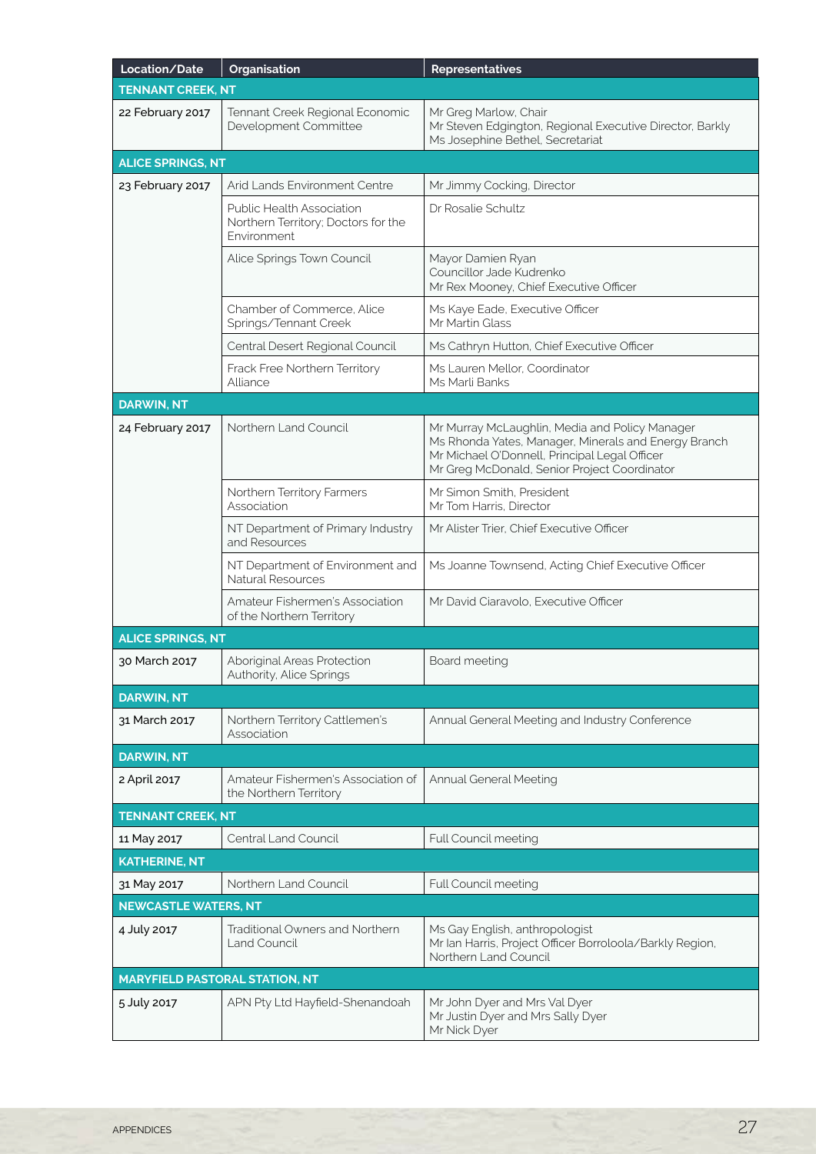| Location/Date                         | Organisation                                                                           | <b>Representatives</b>                                                                                                                                                                                  |  |  |
|---------------------------------------|----------------------------------------------------------------------------------------|---------------------------------------------------------------------------------------------------------------------------------------------------------------------------------------------------------|--|--|
| <b>TENNANT CREEK, NT</b>              |                                                                                        |                                                                                                                                                                                                         |  |  |
| 22 February 2017                      | Tennant Creek Regional Economic<br>Development Committee                               | Mr Greg Marlow, Chair<br>Mr Steven Edgington, Regional Executive Director, Barkly<br>Ms Josephine Bethel, Secretariat                                                                                   |  |  |
| <b>ALICE SPRINGS, NT</b>              |                                                                                        |                                                                                                                                                                                                         |  |  |
| 23 February 2017                      | Arid Lands Environment Centre                                                          | Mr Jimmy Cocking, Director                                                                                                                                                                              |  |  |
|                                       | <b>Public Health Association</b><br>Northern Territory; Doctors for the<br>Environment | Dr Rosalie Schultz                                                                                                                                                                                      |  |  |
|                                       | Alice Springs Town Council                                                             | Mayor Damien Ryan<br>Councillor Jade Kudrenko<br>Mr Rex Mooney, Chief Executive Officer                                                                                                                 |  |  |
|                                       | Chamber of Commerce, Alice<br>Springs/Tennant Creek                                    | Ms Kaye Eade, Executive Officer<br>Mr Martin Glass                                                                                                                                                      |  |  |
|                                       | Central Desert Regional Council                                                        | Ms Cathryn Hutton, Chief Executive Officer                                                                                                                                                              |  |  |
|                                       | Frack Free Northern Territory<br>Alliance                                              | Ms Lauren Mellor, Coordinator<br>Ms Marli Banks                                                                                                                                                         |  |  |
| <b>DARWIN, NT</b>                     |                                                                                        |                                                                                                                                                                                                         |  |  |
| 24 February 2017                      | Northern Land Council                                                                  | Mr Murray McLaughlin, Media and Policy Manager<br>Ms Rhonda Yates, Manager, Minerals and Energy Branch<br>Mr Michael O'Donnell, Principal Legal Officer<br>Mr Greg McDonald, Senior Project Coordinator |  |  |
|                                       | Northern Territory Farmers<br>Association                                              | Mr Simon Smith, President<br>Mr Tom Harris, Director                                                                                                                                                    |  |  |
|                                       | NT Department of Primary Industry<br>and Resources                                     | Mr Alister Trier, Chief Executive Officer                                                                                                                                                               |  |  |
|                                       | NT Department of Environment and<br>Natural Resources                                  | Ms Joanne Townsend, Acting Chief Executive Officer                                                                                                                                                      |  |  |
|                                       | Amateur Fishermen's Association<br>of the Northern Territory                           | Mr David Ciaravolo, Executive Officer                                                                                                                                                                   |  |  |
| <b>ALICE SPRINGS, NT</b>              |                                                                                        |                                                                                                                                                                                                         |  |  |
| 30 March 2017                         | Aboriginal Areas Protection<br>Authority, Alice Springs                                | Board meeting                                                                                                                                                                                           |  |  |
| <b>DARWIN, NT</b>                     |                                                                                        |                                                                                                                                                                                                         |  |  |
| 31 March 2017                         | Northern Territory Cattlemen's<br>Association                                          | Annual General Meeting and Industry Conference                                                                                                                                                          |  |  |
| <b>DARWIN, NT</b>                     |                                                                                        |                                                                                                                                                                                                         |  |  |
| 2 April 2017                          | Amateur Fishermen's Association of<br>the Northern Territory                           | Annual General Meeting                                                                                                                                                                                  |  |  |
| <b>TENNANT CREEK, NT</b>              |                                                                                        |                                                                                                                                                                                                         |  |  |
| 11 May 2017                           | Central Land Council                                                                   | Full Council meeting                                                                                                                                                                                    |  |  |
| <b>KATHERINE, NT</b>                  |                                                                                        |                                                                                                                                                                                                         |  |  |
| 31 May 2017                           | Northern Land Council                                                                  | Full Council meeting                                                                                                                                                                                    |  |  |
| <b>NEWCASTLE WATERS, NT</b>           |                                                                                        |                                                                                                                                                                                                         |  |  |
| 4 July 2017                           | Traditional Owners and Northern<br>Land Council                                        | Ms Gay English, anthropologist<br>Mr Ian Harris, Project Officer Borroloola/Barkly Region,<br>Northern Land Council                                                                                     |  |  |
| <b>MARYFIELD PASTORAL STATION, NT</b> |                                                                                        |                                                                                                                                                                                                         |  |  |
| 5 July 2017                           | APN Pty Ltd Hayfield-Shenandoah                                                        | Mr John Dyer and Mrs Val Dyer<br>Mr Justin Dyer and Mrs Sally Dyer<br>Mr Nick Dyer                                                                                                                      |  |  |